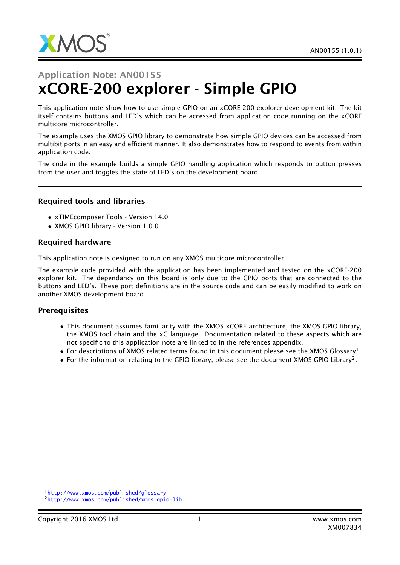

# Application Note: AN00155 xCORE-200 explorer - Simple GPIO

This application note show how to use simple GPIO on an xCORE-200 explorer development kit. The kit itself contains buttons and LED's which can be accessed from application code running on the xCORE multicore microcontroller.

The example uses the XMOS GPIO library to demonstrate how simple GPIO devices can be accessed from multibit ports in an easy and efficient manner. It also demonstrates how to respond to events from within application code.

The code in the example builds a simple GPIO handling application which responds to button presses from the user and toggles the state of LED's on the development board.

#### Required tools and libraries

- xTIMEcomposer Tools Version 14.0
- XMOS GPIO library Version 1.0.0

#### Required hardware

This application note is designed to run on any XMOS multicore microcontroller.

The example code provided with the application has been implemented and tested on the xCORE-200 explorer kit. The dependancy on this board is only due to the GPIO ports that are connected to the buttons and LED's. These port definitions are in the source code and can be easily modified to work on another XMOS development board.

#### **Prerequisites**

- This document assumes familiarity with the XMOS xCORE architecture, the XMOS GPIO library, the XMOS tool chain and the xC language. Documentation related to these aspects which are not specific to this application note are linked to in the references appendix.
- $\bullet$  For descriptions of XMOS related terms found in this document please see the XMOS Glossary<sup>1</sup>.
- $\bullet$  For the information relating to the GPIO library, please see the document XMOS GPIO Library<sup>2</sup>.

<sup>1</sup><http://www.xmos.com/published/glossary>

<sup>2</sup><http://www.xmos.com/published/xmos-gpio-lib>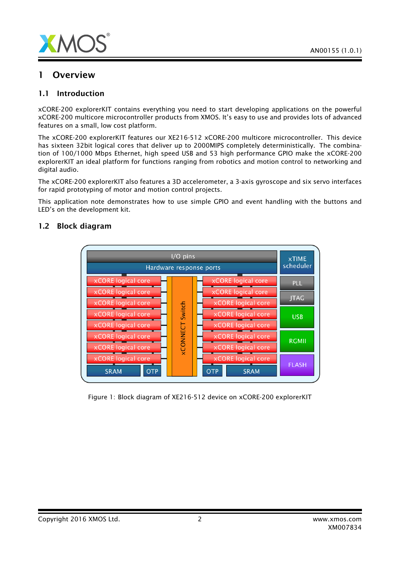

### 1 Overview

#### 1.1 Introduction

xCORE-200 explorerKIT contains everything you need to start developing applications on the powerful xCORE-200 multicore microcontroller products from XMOS. It's easy to use and provides lots of advanced features on a small, low cost platform.

The xCORE-200 explorerKIT features our XE216-512 xCORE-200 multicore microcontroller. This device has sixteen 32bit logical cores that deliver up to 2000MIPS completely deterministically. The combination of 100/1000 Mbps Ethernet, high speed USB and 53 high performance GPIO make the xCORE-200 explorerKIT an ideal platform for functions ranging from robotics and motion control to networking and digital audio.

The xCORE-200 explorerKIT also features a 3D accelerometer, a 3-axis gyroscope and six servo interfaces for rapid prototyping of motor and motion control projects.

This application note demonstrates how to use simple GPIO and event handling with the buttons and LED's on the development kit.



#### 1.2 Block diagram

Figure 1: Block diagram of XE216-512 device on xCORE-200 explorerKIT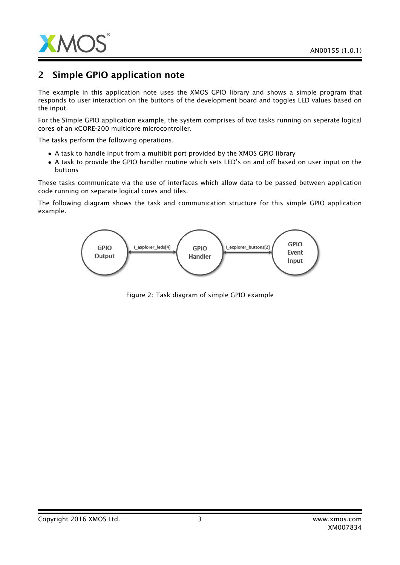

# 2 Simple GPIO application note

The example in this application note uses the XMOS GPIO library and shows a simple program that responds to user interaction on the buttons of the development board and toggles LED values based on the input.

For the Simple GPIO application example, the system comprises of two tasks running on seperate logical cores of an xCORE-200 multicore microcontroller.

The tasks perform the following operations.

- A task to handle input from a multibit port provided by the XMOS GPIO library
- A task to provide the GPIO handler routine which sets LED's on and off based on user input on the buttons

These tasks communicate via the use of interfaces which allow data to be passed between application code running on separate logical cores and tiles.

The following diagram shows the task and communication structure for this simple GPIO application example.



Figure 2: Task diagram of simple GPIO example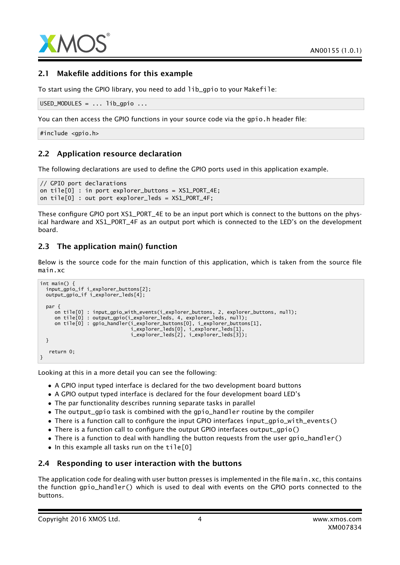

#### 2.1 Makefile additions for this example

To start using the GPIO library, you need to add lib\_gpio to your Makefile:

```
USED_MODULES = ... lib_gpio ...
```
You can then access the GPIO functions in your source code via the gpio.h header file:

#include <gpio.h>

#### 2.2 Application resource declaration

The following declarations are used to define the GPIO ports used in this application example.

```
// GPIO port declarations
on tile[0] : in port explorer_buttons = XS1_PORT_4E;
on tile[0] : out port explorer_leds = XS1_PORT_4F;
```
These configure GPIO port XS1\_PORT\_4E to be an input port which is connect to the buttons on the physical hardware and XS1\_PORT\_4F as an output port which is connected to the LED's on the development board.

#### 2.3 The application main() function

Below is the source code for the main function of this application, which is taken from the source file main.xc

```
int main() {
  input_gpio_if i_explorer_buttons[2];
 output_gpio_if i_explorer_leds[4];
 par {
    on tile[0] : input_gpio_with_events(i_explorer_buttons, 2, explorer_buttons, null);
     on tile[0] : output_gpio(i_explorer_leds, 4, explorer_leds, null);
     on tile[0] : gpio_handler(i_explorer_buttons[0], i_explorer_buttons[1],
                               i_explorer_leds[0], i_explorer_leds[1],
                               i_explorer_leds[2], i_explorer_leds[3]);
 }
   return 0;
}
```
Looking at this in a more detail you can see the following:

- A GPIO input typed interface is declared for the two development board buttons
- A GPIO output typed interface is declared for the four development board LED's
- The par functionality describes running separate tasks in parallel
- The output\_gpio task is combined with the gpio\_handler routine by the compiler
- There is a function call to configure the input GPIO interfaces input\_gpio\_with\_events()
- There is a function call to configure the output GPIO interfaces output\_gpio()
- There is a function to deal with handling the button requests from the user gpio\_handler()
- In this example all tasks run on the tile[0]

#### 2.4 Responding to user interaction with the buttons

The application code for dealing with user button presses is implemented in the file main. $xc$ , this contains the function gpio\_handler() which is used to deal with events on the GPIO ports connected to the buttons.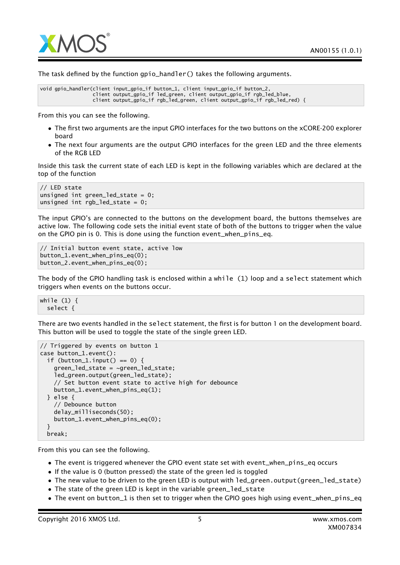

The task defined by the function gpio\_handler() takes the following arguments.

```
void gpio_handler(client input_gpio_if button_1, client input_gpio_if button_2,
                  client output_gpio_if led_green, client output_gpio_if rgb_led_blue,
                 client output_gpio_if rgb_led_green, client output_gpio_if rgb_led_red) {
```
From this you can see the following.

- The first two arguments are the input GPIO interfaces for the two buttons on the xCORE-200 explorer board
- The next four arguments are the output GPIO interfaces for the green LED and the three elements of the RGB LED

Inside this task the current state of each LED is kept in the following variables which are declared at the top of the function

```
// LED state
unsigned int green_led_state = 0;
unsigned int rgb led_state = 0;
```
The input GPIO's are connected to the buttons on the development board, the buttons themselves are active low. The following code sets the initial event state of both of the buttons to trigger when the value on the GPIO pin is 0. This is done using the function event\_when\_pins\_eq.

```
// Initial button event state, active low
button_1.event_when_pins_eq(0);
button_2.event_when_pins_eq(0);
```
The body of the GPIO handling task is enclosed within a while (1) loop and a select statement which triggers when events on the buttons occur.

while (1) { select {

There are two events handled in the select statement, the first is for button 1 on the development board. This button will be used to toggle the state of the single green LED.

```
// Triggered by events on button 1
case button_1.event():
 if (button_1.input() == 0) {
    green_led_state = ~green_led_state;
    led_green.output(green_led_state);
    // Set button event state to active high for debounce
    button_1.event_when_pins_eq(1);
 } else {
    // Debounce button
    delay_milliseconds(50);
    button_1.event_when_pins_eq(0);
 }
 break;
```
From this you can see the following.

- The event is triggered whenever the GPIO event state set with event\_when\_pins\_eq occurs
- If the value is 0 (button pressed) the state of the green led is toggled
- The new value to be driven to the green LED is output with 1ed\_green.output(green\_led\_state)
- The state of the green LED is kept in the variable green\_led\_state
- The event on button\_1 is then set to trigger when the GPIO goes high using event\_when\_pins\_eq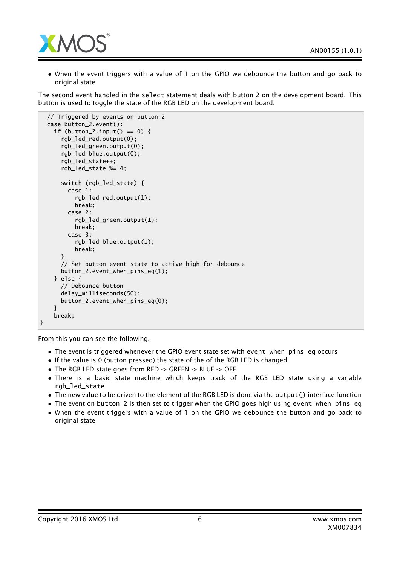

• When the event triggers with a value of 1 on the GPIO we debounce the button and go back to original state

The second event handled in the select statement deals with button 2 on the development board. This button is used to toggle the state of the RGB LED on the development board.

```
// Triggered by events on button 2
 case button_2.event():
    if (button_2.input() == 0) {
      rgb_led_red.output(0);
      rgb_led_green.output(0);
      rgb_led_blue.output(0);
      rgb_led_state++;
      rgb_led_state %= 4;
      switch (rgb_led_state) {
        case 1:
          rgb_led_red.output(1);
          break;
        case 2:
          rgb_led_green.output(1);
          break;
        case 3:
          rgb_led_blue.output(1);
          break;
      }
      // Set button event state to active high for debounce
      button_2.event_when_pins_eq(1);
    } else {
      // Debounce button
      delay_milliseconds(50);
      button_2.event_when_pins_eq(0);
    }
    break;
}
```
From this you can see the following.

- The event is triggered whenever the GPIO event state set with event\_when\_pins\_eq occurs
- If the value is 0 (button pressed) the state of the of the RGB LED is changed
- The RGB LED state goes from RED -> GREEN -> BLUE -> OFF
- There is a basic state machine which keeps track of the RGB LED state using a variable rgb led state
- The new value to be driven to the element of the RGB LED is done via the output() interface function
- The event on button\_2 is then set to trigger when the GPIO goes high using event\_when\_pins\_eq
- When the event triggers with a value of 1 on the GPIO we debounce the button and go back to original state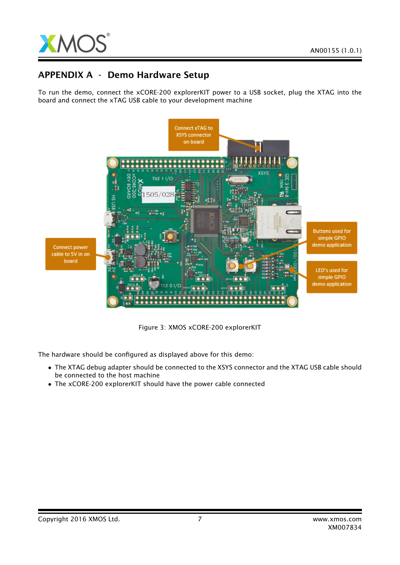

## APPENDIX A - Demo Hardware Setup

To run the demo, connect the xCORE-200 explorerKIT power to a USB socket, plug the XTAG into the board and connect the xTAG USB cable to your development machine



Figure 3: XMOS xCORE-200 explorerKIT

The hardware should be configured as displayed above for this demo:

- The XTAG debug adapter should be connected to the XSYS connector and the XTAG USB cable should be connected to the host machine
- The xCORE-200 explorerKIT should have the power cable connected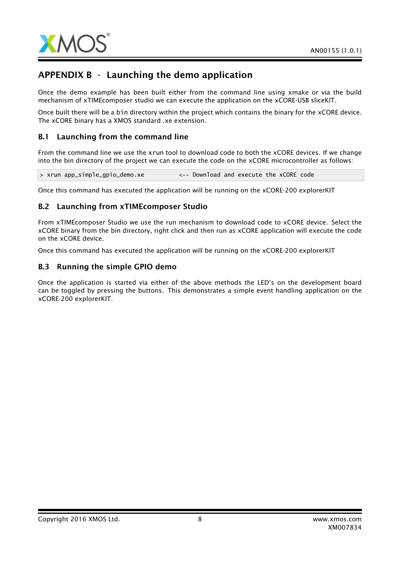

# APPENDIX B - Launching the demo application

Once the demo example has been built either from the command line using xmake or via the build mechanism of xTIMEcomposer studio we can execute the application on the xCORE-USB sliceKIT.

Once built there will be a bin directory within the project which contains the binary for the xCORE device. The xCORE binary has a XMOS standard .xe extension.

#### B.1 Launching from the command line

From the command line we use the xrun tool to download code to both the xCORE devices. If we change into the bin directory of the project we can execute the code on the xCORE microcontroller as follows:

> xrun app\_simple\_gpio\_demo.xe <-- Download and execute the xCORE code

Once this command has executed the application will be running on the xCORE-200 explorerKIT

#### B.2 Launching from xTIMEcomposer Studio

From xTIMEcomposer Studio we use the run mechanism to download code to xCORE device. Select the xCORE binary from the bin directory, right click and then run as xCORE application will execute the code on the xCORE device.

Once this command has executed the application will be running on the xCORE-200 explorerKIT

#### B.3 Running the simple GPIO demo

Once the application is started via either of the above methods the LED's on the development board can be toggled by pressing the buttons. This demonstrates a simple event handling application on the xCORE-200 explorerKIT.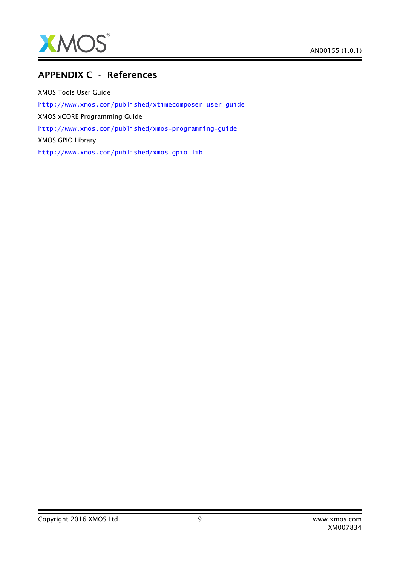

## APPENDIX C - References

XMOS Tools User Guide <http://www.xmos.com/published/xtimecomposer-user-guide> XMOS xCORE Programming Guide <http://www.xmos.com/published/xmos-programming-guide> XMOS GPIO Library <http://www.xmos.com/published/xmos-gpio-lib>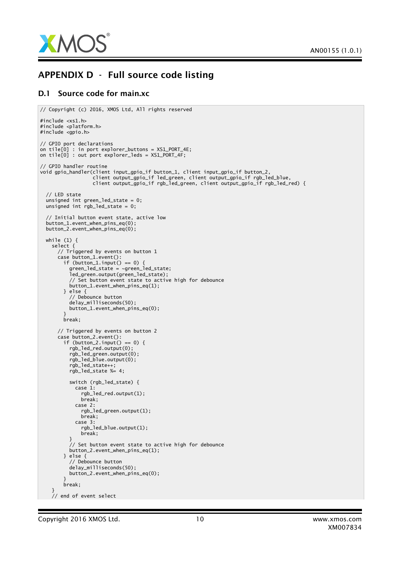

## APPENDIX D - Full source code listing

#### D.1 Source code for main.xc

```
// Copyright (c) 2016, XMOS Ltd, All rights reserved
#include <xs1.h>
#include <platform.h>
#include <gpio.h>
// GPIO port declarations
on tile[0] : in port explorer_buttons = XS1_PORT_4E;
on tile[0] : out port explorer_leds = XS1_PORT_4F;
// GPIO handler routine
void gpio_handler(client input_gpio_if button_1, client input_gpio_if button_2,
                   client output_gpio_if led_green, client output_gpio_if rgb_led_blue,
                   client output_gpio_if rgb_led_green, client output_gpio_if rgb_led_red) {
  // LED state
  unsigned int green_led_state = 0;
  unsigned int rgb_led_state = 0;
  // Initial button event state, active low
  button_1.event_when_pins_eq(0);
  button_2.event_when_pins_eq(0);
  while (1) {
    select {
      // Triggered by events on button 1
      case button_1.event():
        if (button_1.input() == 0) {
          green_led_state = ~green_led_state;
          led_green.output(green_led_state);
          // Set button event state to active high for debounce
          button_1.event_when_pins_eq(1);
        } else {
          // Debounce button
          delay_milliseconds(50);
          button_1.event_when_pins_eq(0);
        }
        break;
      // Triggered by events on button 2
      case button_2.event():
        if (button_2.input() == 0) {
          rgb_led_red.output(0);
          rgb_led_green.output(0);
          rgb_led_blue.output(0);
          rgb_led_state++;
          rgb_led_state %= 4;
          switch (rgb_led_state) {
            case 1:
              rgb_led_red.output(1);
              break;
            case 2:
              rgb_led_green.output(1);
              break:case 3:
              rgb_led_blue.output(1);
              break;
          }
          // Set button event state to active high for debounce
          button_2.event_when_pins_eq(1);
        } else {
          // Debounce button
          delay_milliseconds(50);
          button_2.event_when_pins_eq(0);
        }
        break;
    }
    // end of event select
```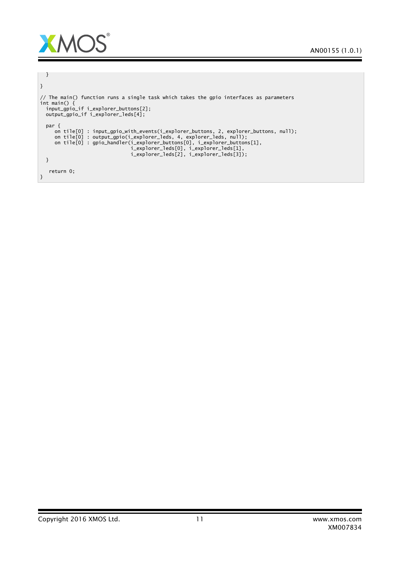

```
}
}
// The main() function runs a single task which takes the gpio interfaces as parameters
int main() {
  input_gpio_if i_explorer_buttons[2];
  output_gpio_if i_explorer_leds[4];
 par {
     on tile[0] : input_gpio_with_events(i_explorer_buttons, 2, explorer_buttons, null);
     on tile[0] : output_gpio(i_explorer_leds, 4, explorer_leds, null);
     on tile[0] : gpio_handler(i_explorer_buttons[0], i_explorer_buttons[1],
                                i_explorer_leds[0], i_explorer_leds[1],
                                i_explorer_leds[2], i_explorer_leds[3]);
 }
  return 0;
}
```